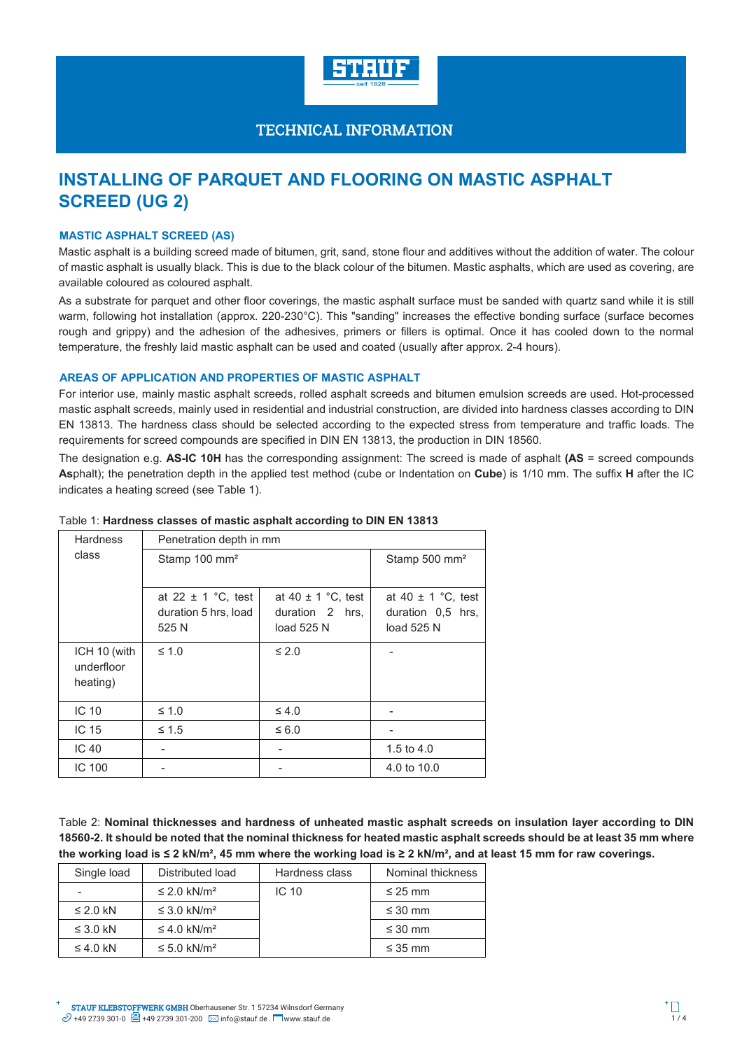

# **INSTALLING OF PARQUET AND FLOORING ON MASTIC ASPHALT SCREED (UG 2)**

# **MASTIC ASPHALT SCREED (AS)**

Mastic asphalt is a building screed made of bitumen, grit, sand, stone flour and additives without the addition of water. The colour of mastic asphalt is usually black. This is due to the black colour of the bitumen. Mastic asphalts, which are used as covering, are available coloured as coloured asphalt.

As a substrate for parquet and other floor coverings, the mastic asphalt surface must be sanded with quartz sand while it is still warm, following hot installation (approx. 220-230°C). This "sanding" increases the effective bonding surface (surface becomes rough and grippy) and the adhesion of the adhesives, primers or fillers is optimal. Once it has cooled down to the normal temperature, the freshly laid mastic asphalt can be used and coated (usually after approx. 2-4 hours).

### **AREAS OF APPLICATION AND PROPERTIES OF MASTIC ASPHALT**

For interior use, mainly mastic asphalt screeds, rolled asphalt screeds and bitumen emulsion screeds are used. Hot-processed mastic asphalt screeds, mainly used in residential and industrial construction, are divided into hardness classes according to DIN EN 13813. The hardness class should be selected according to the expected stress from temperature and traffic loads. The requirements for screed compounds are specified in DIN EN 13813, the production in DIN 18560.

The designation e.g. **AS-IC 10H** has the corresponding assignment: The screed is made of asphalt **(AS** = screed compounds **As**phalt); the penetration depth in the applied test method (cube or Indentation on **Cube**) is 1/10 mm. The suffix **H** after the IC indicates a heating screed (see Table 1).

| <b>Hardness</b>                        | Penetration depth in mm   |                           |                        |  |
|----------------------------------------|---------------------------|---------------------------|------------------------|--|
| class                                  | Stamp 100 mm <sup>2</sup> | Stamp 500 mm <sup>2</sup> |                        |  |
|                                        |                           |                           |                        |  |
|                                        | at 22 $\pm$ 1 °C, test    | at 40 $\pm$ 1 °C, test    | at 40 $\pm$ 1 °C, test |  |
|                                        | duration 5 hrs, load      | duration 2 hrs.           | duration 0.5 hrs.      |  |
|                                        | 525 N                     | load 525 N                | load 525 N             |  |
| ICH 10 (with<br>underfloor<br>heating) | $\leq 1.0$                | $\leq 2.0$                |                        |  |
| IC <sub>10</sub>                       | $\leq 1.0$                | $\leq 4.0$                |                        |  |
| IC <sub>15</sub>                       | $\leq 1.5$                | $\leq 6.0$                |                        |  |
| IC <sub>40</sub>                       |                           |                           | 1.5 to $4.0$           |  |
| IC 100                                 |                           |                           | 4.0 to 10.0            |  |

### Table 1: **Hardness classes of mastic asphalt according to DIN EN 13813**

Table 2: **Nominal thicknesses and hardness of unheated mastic asphalt screeds on insulation layer according to DIN 18560-2. It should be noted that the nominal thickness for heated mastic asphalt screeds should be at least 35 mm where the working load is ≤ 2 kN/m², 45 mm where the working load is ≥ 2 kN/m², and at least 15 mm for raw coverings.** 

| Single load   | Distributed load             | Hardness class   | Nominal thickness |
|---------------|------------------------------|------------------|-------------------|
|               | $\leq$ 2.0 kN/m <sup>2</sup> | IC <sub>10</sub> | $\leq$ 25 mm      |
| $\leq$ 2.0 kN | $\leq$ 3.0 kN/m <sup>2</sup> |                  | $\leq 30$ mm      |
| $\leq$ 3.0 kN | $\leq$ 4.0 kN/m <sup>2</sup> |                  | $\leq 30$ mm      |
| $\leq$ 4.0 kN | $\leq 5.0$ kN/m <sup>2</sup> |                  | $\leq$ 35 mm      |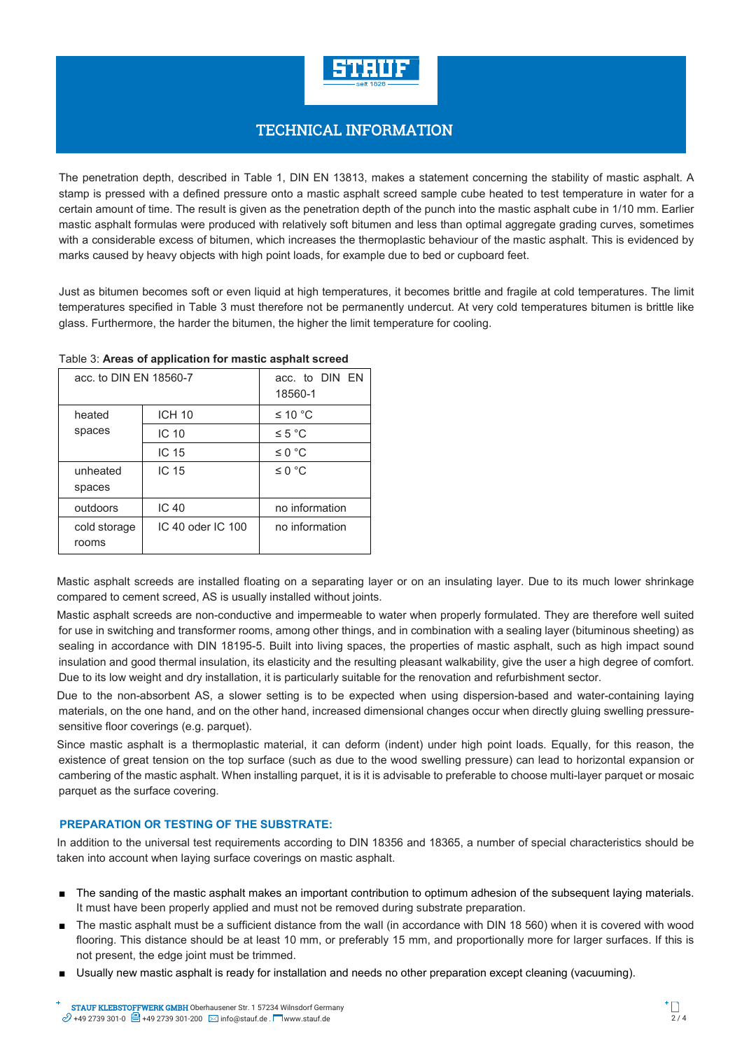

The penetration depth, described in Table 1, DIN EN 13813, makes a statement concerning the stability of mastic asphalt. A stamp is pressed with a defined pressure onto a mastic asphalt screed sample cube heated to test temperature in water for a certain amount of time. The result is given as the penetration depth of the punch into the mastic asphalt cube in 1/10 mm. Earlier mastic asphalt formulas were produced with relatively soft bitumen and less than optimal aggregate grading curves, sometimes with a considerable excess of bitumen, which increases the thermoplastic behaviour of the mastic asphalt. This is evidenced by marks caused by heavy objects with high point loads, for example due to bed or cupboard feet.

Just as bitumen becomes soft or even liquid at high temperatures, it becomes brittle and fragile at cold temperatures. The limit temperatures specified in Table 3 must therefore not be permanently undercut. At very cold temperatures bitumen is brittle like glass. Furthermore, the harder the bitumen, the higher the limit temperature for cooling.

| acc. to DIN EN 18560-7 |                   | acc. to DIN EN<br>18560-1 |  |
|------------------------|-------------------|---------------------------|--|
| heated                 | <b>ICH 10</b>     | ≤ 10 °C                   |  |
| spaces                 | IC 10             | $\leq 5$ °C               |  |
|                        | IC 15             | $\leq 0$ °C               |  |
| unheated<br>spaces     | IC 15             | $\leq 0$ °C               |  |
| outdoors               | IC 40             | no information            |  |
| cold storage<br>rooms  | IC 40 oder IC 100 | no information            |  |

### Table 3: **Areas of application for mastic asphalt screed**

Mastic asphalt screeds are installed floating on a separating layer or on an insulating layer. Due to its much lower shrinkage compared to cement screed, AS is usually installed without joints.

Mastic asphalt screeds are non-conductive and impermeable to water when properly formulated. They are therefore well suited for use in switching and transformer rooms, among other things, and in combination with a sealing layer (bituminous sheeting) as sealing in accordance with DIN 18195-5. Built into living spaces, the properties of mastic asphalt, such as high impact sound insulation and good thermal insulation, its elasticity and the resulting pleasant walkability, give the user a high degree of comfort. Due to its low weight and dry installation, it is particularly suitable for the renovation and refurbishment sector.

Due to the non-absorbent AS, a slower setting is to be expected when using dispersion-based and water-containing laying materials, on the one hand, and on the other hand, increased dimensional changes occur when directly gluing swelling pressuresensitive floor coverings (e.g. parquet).

Since mastic asphalt is a thermoplastic material, it can deform (indent) under high point loads. Equally, for this reason, the existence of great tension on the top surface (such as due to the wood swelling pressure) can lead to horizontal expansion or cambering of the mastic asphalt. When installing parquet, it is it is advisable to preferable to choose multi-layer parquet or mosaic parquet as the surface covering.

# **PREPARATION OR TESTING OF THE SUBSTRATE:**

In addition to the universal test requirements according to DIN 18356 and 18365, a number of special characteristics should be taken into account when laying surface coverings on mastic asphalt.

- The sanding of the mastic asphalt makes an important contribution to optimum adhesion of the subsequent laying materials. It must have been properly applied and must not be removed during substrate preparation.
- The mastic asphalt must be a sufficient distance from the wall (in accordance with DIN 18 560) when it is covered with wood flooring. This distance should be at least 10 mm, or preferably 15 mm, and proportionally more for larger surfaces. If this is not present, the edge joint must be trimmed.
- Usually new mastic asphalt is ready for installation and needs no other preparation except cleaning (vacuuming).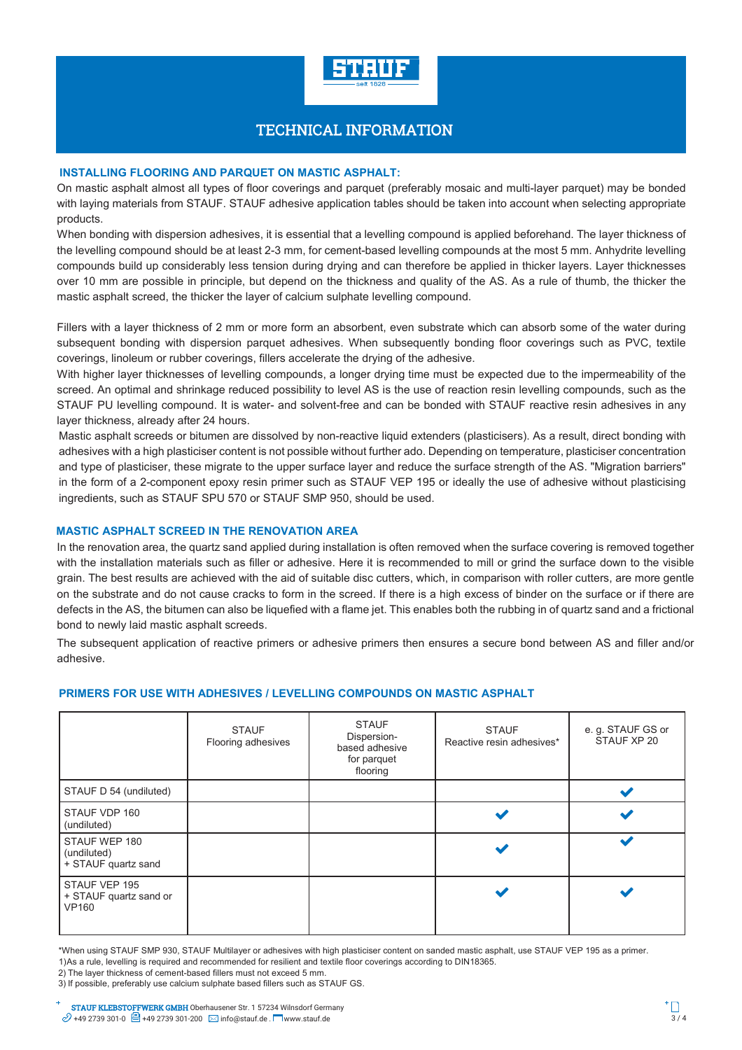

# **INSTALLING FLOORING AND PARQUET ON MASTIC ASPHALT:**

On mastic asphalt almost all types of floor coverings and parquet (preferably mosaic and multi-layer parquet) may be bonded with laying materials from STAUF. STAUF adhesive application tables should be taken into account when selecting appropriate products.

When bonding with dispersion adhesives, it is essential that a levelling compound is applied beforehand. The layer thickness of the levelling compound should be at least 2-3 mm, for cement-based levelling compounds at the most 5 mm. Anhydrite levelling compounds build up considerably less tension during drying and can therefore be applied in thicker layers. Layer thicknesses over 10 mm are possible in principle, but depend on the thickness and quality of the AS. As a rule of thumb, the thicker the mastic asphalt screed, the thicker the layer of calcium sulphate levelling compound.

Fillers with a layer thickness of 2 mm or more form an absorbent, even substrate which can absorb some of the water during subsequent bonding with dispersion parquet adhesives. When subsequently bonding floor coverings such as PVC, textile coverings, linoleum or rubber coverings, fillers accelerate the drying of the adhesive.

With higher layer thicknesses of levelling compounds, a longer drying time must be expected due to the impermeability of the screed. An optimal and shrinkage reduced possibility to level AS is the use of reaction resin levelling compounds, such as the STAUF PU levelling compound. It is water- and solvent-free and can be bonded with STAUF reactive resin adhesives in any layer thickness, already after 24 hours.

Mastic asphalt screeds or bitumen are dissolved by non-reactive liquid extenders (plasticisers). As a result, direct bonding with adhesives with a high plasticiser content is not possible without further ado. Depending on temperature, plasticiser concentration and type of plasticiser, these migrate to the upper surface layer and reduce the surface strength of the AS. "Migration barriers" in the form of a 2-component epoxy resin primer such as STAUF VEP 195 or ideally the use of adhesive without plasticising ingredients, such as STAUF SPU 570 or STAUF SMP 950, should be used.

### **MASTIC ASPHALT SCREED IN THE RENOVATION AREA**

In the renovation area, the quartz sand applied during installation is often removed when the surface covering is removed together with the installation materials such as filler or adhesive. Here it is recommended to mill or grind the surface down to the visible grain. The best results are achieved with the aid of suitable disc cutters, which, in comparison with roller cutters, are more gentle on the substrate and do not cause cracks to form in the screed. If there is a high excess of binder on the surface or if there are defects in the AS, the bitumen can also be liquefied with a flame jet. This enables both the rubbing in of quartz sand and a frictional bond to newly laid mastic asphalt screeds.

The subsequent application of reactive primers or adhesive primers then ensures a secure bond between AS and filler and/or adhesive.

### **PRIMERS FOR USE WITH ADHESIVES / LEVELLING COMPOUNDS ON MASTIC ASPHALT**

|                                                         | <b>STAUF</b><br>Flooring adhesives | <b>STAUF</b><br>Dispersion-<br>based adhesive<br>for parquet<br>flooring | <b>STAUF</b><br>Reactive resin adhesives* | e. g. STAUF GS or<br>STAUF XP 20 |
|---------------------------------------------------------|------------------------------------|--------------------------------------------------------------------------|-------------------------------------------|----------------------------------|
| STAUF D 54 (undiluted)                                  |                                    |                                                                          |                                           |                                  |
| STAUF VDP 160<br>(undiluted)                            |                                    |                                                                          |                                           |                                  |
| STAUF WEP 180<br>(undiluted)<br>+ STAUF quartz sand     |                                    |                                                                          |                                           | مە                               |
| STAUF VEP 195<br>+ STAUF quartz sand or<br><b>VP160</b> |                                    |                                                                          |                                           |                                  |

\*When using STAUF SMP 930, STAUF Multilayer or adhesives with high plasticiser content on sanded mastic asphalt, use STAUF VEP 195 as a primer. 1) As a rule, levelling is required and recommended for resilient and textile floor coverings according to DIN18365.

2) The layer thickness of cement-based fillers must not exceed 5 mm.

3) If possible, preferably use calcium sulphate based fillers such as STAUF GS.